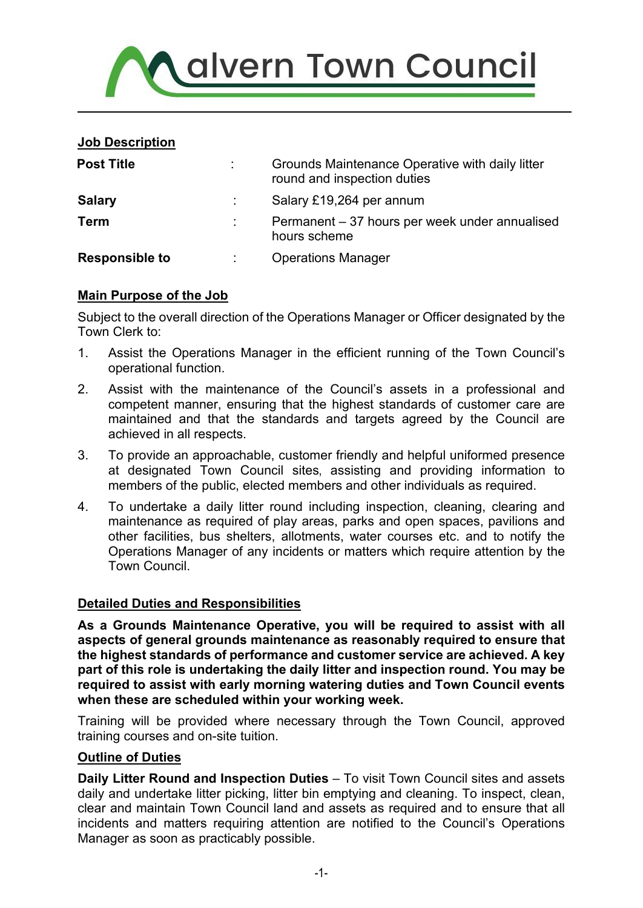

### **Job Description**

| <b>Post Title</b>     | Grounds Maintenance Operative with daily litter<br>round and inspection duties |
|-----------------------|--------------------------------------------------------------------------------|
| <b>Salary</b>         | Salary £19,264 per annum                                                       |
| <b>Term</b>           | Permanent – 37 hours per week under annualised<br>hours scheme                 |
| <b>Responsible to</b> | <b>Operations Manager</b>                                                      |

# **Main Purpose of the Job**

Subject to the overall direction of the Operations Manager or Officer designated by the Town Clerk to:

- 1. Assist the Operations Manager in the efficient running of the Town Council's operational function.
- 2. Assist with the maintenance of the Council's assets in a professional and competent manner, ensuring that the highest standards of customer care are maintained and that the standards and targets agreed by the Council are achieved in all respects.
- 3. To provide an approachable, customer friendly and helpful uniformed presence at designated Town Council sites, assisting and providing information to members of the public, elected members and other individuals as required.
- 4. To undertake a daily litter round including inspection, cleaning, clearing and maintenance as required of play areas, parks and open spaces, pavilions and other facilities, bus shelters, allotments, water courses etc. and to notify the Operations Manager of any incidents or matters which require attention by the Town Council.

# **Detailed Duties and Responsibilities**

**As a Grounds Maintenance Operative, you will be required to assist with all aspects of general grounds maintenance as reasonably required to ensure that the highest standards of performance and customer service are achieved. A key part of this role is undertaking the daily litter and inspection round. You may be required to assist with early morning watering duties and Town Council events when these are scheduled within your working week.** 

Training will be provided where necessary through the Town Council, approved training courses and on-site tuition.

### **Outline of Duties**

**Daily Litter Round and Inspection Duties** – To visit Town Council sites and assets daily and undertake litter picking, litter bin emptying and cleaning. To inspect, clean, clear and maintain Town Council land and assets as required and to ensure that all incidents and matters requiring attention are notified to the Council's Operations Manager as soon as practicably possible.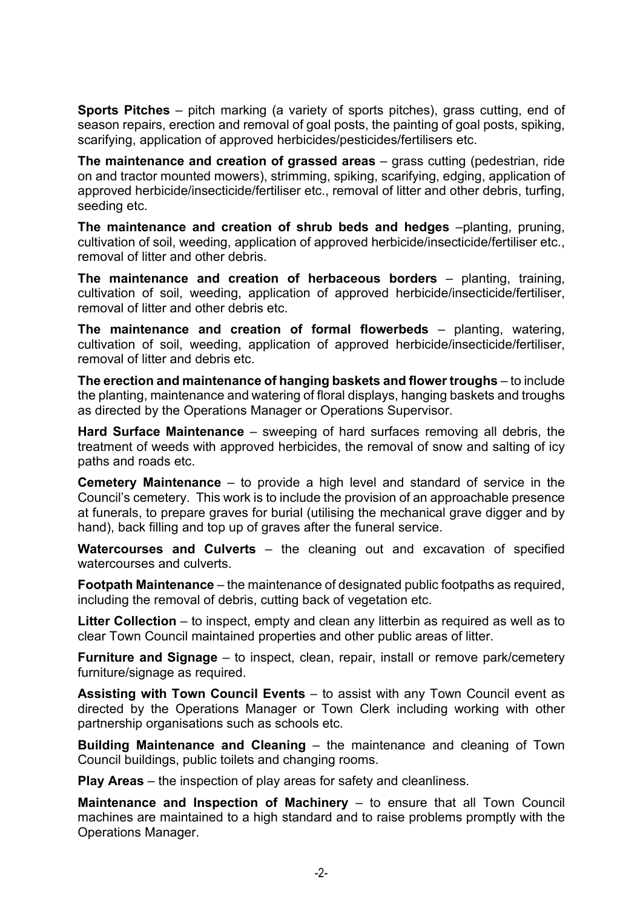**Sports Pitches** – pitch marking (a variety of sports pitches), grass cutting, end of season repairs, erection and removal of goal posts, the painting of goal posts, spiking, scarifying, application of approved herbicides/pesticides/fertilisers etc.

**The maintenance and creation of grassed areas** – grass cutting (pedestrian, ride on and tractor mounted mowers), strimming, spiking, scarifying, edging, application of approved herbicide/insecticide/fertiliser etc., removal of litter and other debris, turfing, seeding etc.

**The maintenance and creation of shrub beds and hedges** –planting, pruning, cultivation of soil, weeding, application of approved herbicide/insecticide/fertiliser etc., removal of litter and other debris.

**The maintenance and creation of herbaceous borders** – planting, training, cultivation of soil, weeding, application of approved herbicide/insecticide/fertiliser, removal of litter and other debris etc.

**The maintenance and creation of formal flowerbeds** – planting, watering, cultivation of soil, weeding, application of approved herbicide/insecticide/fertiliser, removal of litter and debris etc.

**The erection and maintenance of hanging baskets and flower troughs** – to include the planting, maintenance and watering of floral displays, hanging baskets and troughs as directed by the Operations Manager or Operations Supervisor.

**Hard Surface Maintenance** – sweeping of hard surfaces removing all debris, the treatment of weeds with approved herbicides, the removal of snow and salting of icy paths and roads etc.

**Cemetery Maintenance** – to provide a high level and standard of service in the Council's cemetery. This work is to include the provision of an approachable presence at funerals, to prepare graves for burial (utilising the mechanical grave digger and by hand), back filling and top up of graves after the funeral service.

**Watercourses and Culverts** – the cleaning out and excavation of specified watercourses and culverts.

**Footpath Maintenance** – the maintenance of designated public footpaths as required, including the removal of debris, cutting back of vegetation etc.

**Litter Collection** – to inspect, empty and clean any litterbin as required as well as to clear Town Council maintained properties and other public areas of litter.

**Furniture and Signage** – to inspect, clean, repair, install or remove park/cemetery furniture/signage as required.

**Assisting with Town Council Events** – to assist with any Town Council event as directed by the Operations Manager or Town Clerk including working with other partnership organisations such as schools etc.

**Building Maintenance and Cleaning** – the maintenance and cleaning of Town Council buildings, public toilets and changing rooms.

**Play Areas** – the inspection of play areas for safety and cleanliness.

**Maintenance and Inspection of Machinery** – to ensure that all Town Council machines are maintained to a high standard and to raise problems promptly with the Operations Manager.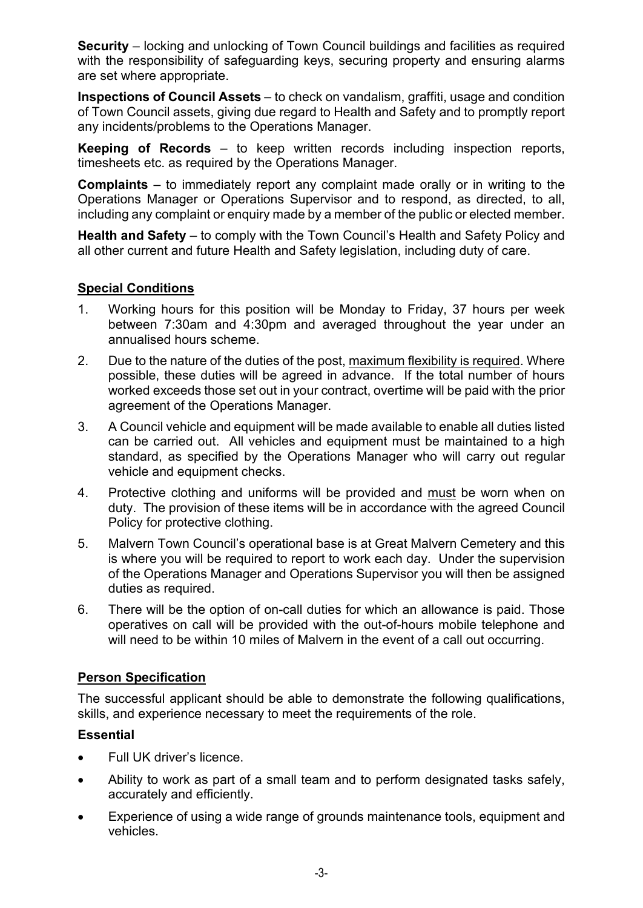**Security** – locking and unlocking of Town Council buildings and facilities as required with the responsibility of safeguarding keys, securing property and ensuring alarms are set where appropriate.

**Inspections of Council Assets** – to check on vandalism, graffiti, usage and condition of Town Council assets, giving due regard to Health and Safety and to promptly report any incidents/problems to the Operations Manager.

**Keeping of Records** – to keep written records including inspection reports, timesheets etc. as required by the Operations Manager.

**Complaints** – to immediately report any complaint made orally or in writing to the Operations Manager or Operations Supervisor and to respond, as directed, to all, including any complaint or enquiry made by a member of the public or elected member.

**Health and Safety** – to comply with the Town Council's Health and Safety Policy and all other current and future Health and Safety legislation, including duty of care.

### **Special Conditions**

- 1. Working hours for this position will be Monday to Friday, 37 hours per week between 7:30am and 4:30pm and averaged throughout the year under an annualised hours scheme.
- 2. Due to the nature of the duties of the post, maximum flexibility is required. Where possible, these duties will be agreed in advance. If the total number of hours worked exceeds those set out in your contract, overtime will be paid with the prior agreement of the Operations Manager.
- 3. A Council vehicle and equipment will be made available to enable all duties listed can be carried out. All vehicles and equipment must be maintained to a high standard, as specified by the Operations Manager who will carry out regular vehicle and equipment checks.
- 4. Protective clothing and uniforms will be provided and must be worn when on duty. The provision of these items will be in accordance with the agreed Council Policy for protective clothing.
- 5. Malvern Town Council's operational base is at Great Malvern Cemetery and this is where you will be required to report to work each day. Under the supervision of the Operations Manager and Operations Supervisor you will then be assigned duties as required.
- 6. There will be the option of on-call duties for which an allowance is paid. Those operatives on call will be provided with the out-of-hours mobile telephone and will need to be within 10 miles of Malvern in the event of a call out occurring.

### **Person Specification**

The successful applicant should be able to demonstrate the following qualifications, skills, and experience necessary to meet the requirements of the role.

### **Essential**

- Full UK driver's licence.
- Ability to work as part of a small team and to perform designated tasks safely, accurately and efficiently.
- Experience of using a wide range of grounds maintenance tools, equipment and vehicles.